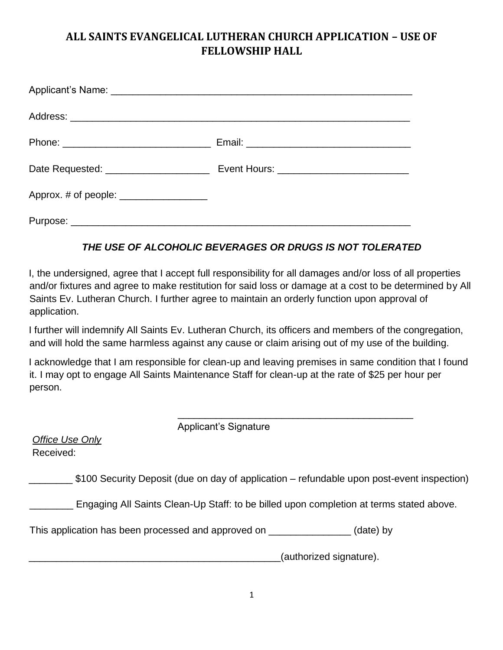## **ALL SAINTS EVANGELICAL LUTHERAN CHURCH APPLICATION – USE OF FELLOWSHIP HALL**

| Date Requested: _______________________ | Event Hours: _____________________________ |
|-----------------------------------------|--------------------------------------------|
| Approx. # of people: _________________  |                                            |
|                                         |                                            |

## *THE USE OF ALCOHOLIC BEVERAGES OR DRUGS IS NOT TOLERATED*

I, the undersigned, agree that I accept full responsibility for all damages and/or loss of all properties and/or fixtures and agree to make restitution for said loss or damage at a cost to be determined by All Saints Ev. Lutheran Church. I further agree to maintain an orderly function upon approval of application.

I further will indemnify All Saints Ev. Lutheran Church, its officers and members of the congregation, and will hold the same harmless against any cause or claim arising out of my use of the building.

I acknowledge that I am responsible for clean-up and leaving premises in same condition that I found it. I may opt to engage All Saints Maintenance Staff for clean-up at the rate of \$25 per hour per person.

Applicant's Signature

| Office Use Only |
|-----------------|
| Received:       |

\$100 Security Deposit (due on day of application – refundable upon post-event inspection)

**Engaging All Saints Clean-Up Staff: to be billed upon completion at terms stated above.** 

\_\_\_\_\_\_\_\_\_\_\_\_\_\_\_\_\_\_\_\_\_\_\_\_\_\_\_\_\_\_\_\_\_\_\_\_\_\_\_\_\_\_\_

This application has been processed and approved on \_\_\_\_\_\_\_\_\_\_\_\_\_\_\_ (date) by

\_\_\_\_\_\_\_\_\_\_\_\_\_\_\_\_\_\_\_\_\_\_\_\_\_\_\_\_\_\_\_\_\_\_\_\_\_\_\_\_\_\_\_\_\_\_(authorized signature).